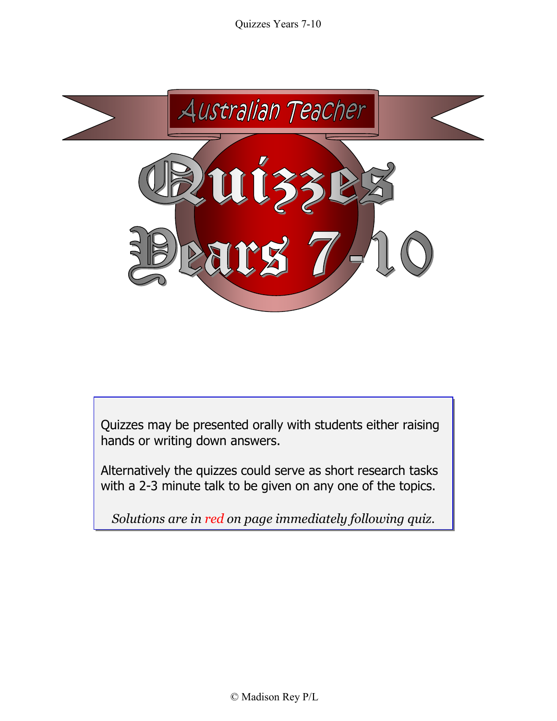

Quizzes may be presented orally with students either raising hands or writing down answers.

Alternatively the quizzes could serve as short research tasks with a 2-3 minute talk to be given on any one of the topics.

*Solutions are in red on page immediately following quiz.*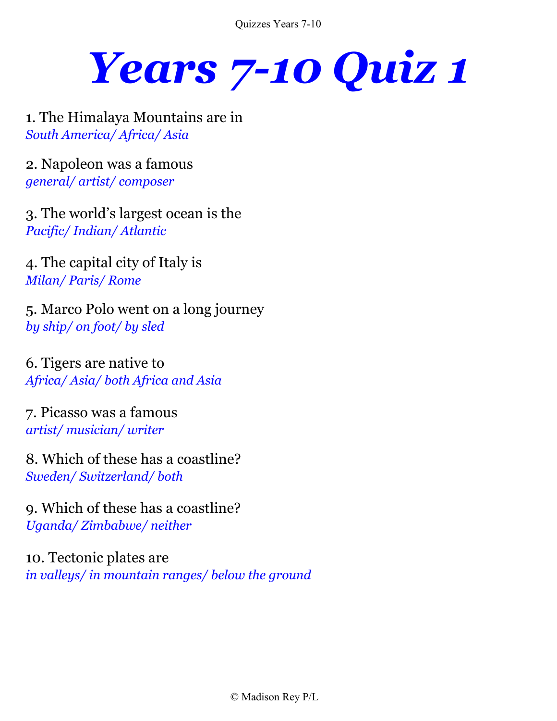*Years 7-10 Quiz 1*

1. The Himalaya Mountains are in *South America/ Africa/ Asia*

2. Napoleon was a famous *general/ artist/ composer*

3. The world's largest ocean is the *Pacific/ Indian/ Atlantic* 

4. The capital city of Italy is *Milan/ Paris/ Rome*

5. Marco Polo went on a long journey *by ship/ on foot/ by sled*

6. Tigers are native to *Africa/ Asia/ both Africa and Asia* 

7. Picasso was a famous *artist/ musician/ writer*

8. Which of these has a coastline? *Sweden/ Switzerland/ both*

9. Which of these has a coastline? *Uganda/ Zimbabwe/ neither* 

10. Tectonic plates are *in valleys/ in mountain ranges/ below the ground*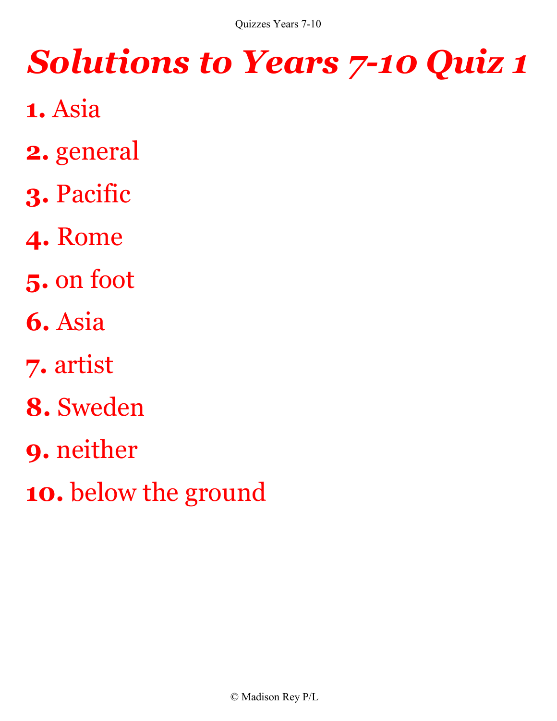- **1.** Asia
- **2.** general
- **3.** Pacific
- **4.** Rome
- **5.** on foot
- **6.** Asia
- **7.** artist
- **8.** Sweden
- **9.** neither
- **10.** below the ground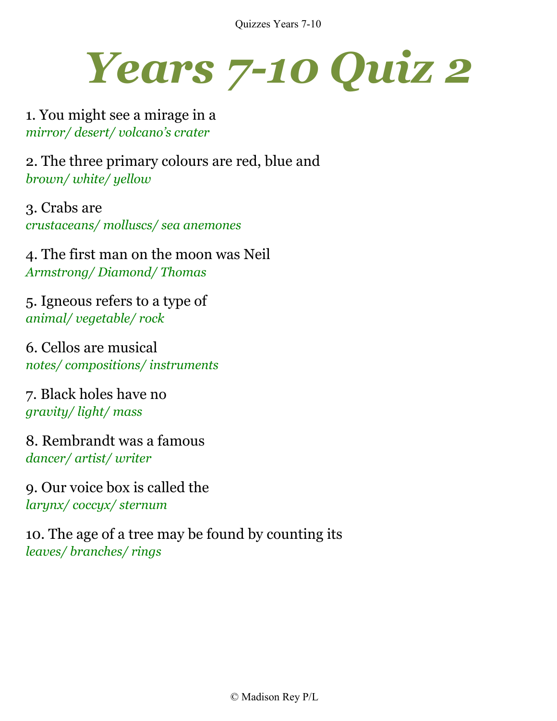

1. You might see a mirage in a *mirror/ desert/ volcano's crater*

2. The three primary colours are red, blue and *brown/ white/ yellow*

3. Crabs are *crustaceans/ molluscs/ sea anemones*

4. The first man on the moon was Neil *Armstrong/ Diamond/ Thomas*

5. Igneous refers to a type of *animal/ vegetable/ rock*

6. Cellos are musical *notes/ compositions/ instruments*

7. Black holes have no *gravity/ light/ mass*

8. Rembrandt was a famous *dancer/ artist/ writer*

9. Our voice box is called the *larynx/ coccyx/ sternum*

10. The age of a tree may be found by counting its *leaves/ branches/ rings*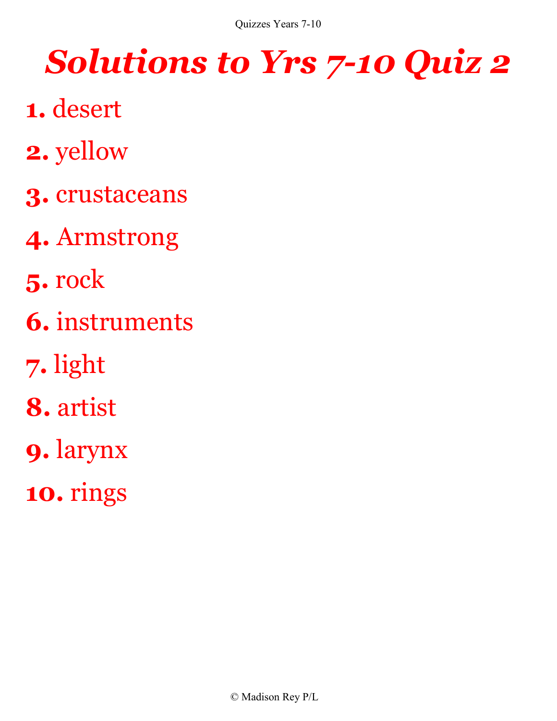- **1.** desert
- **2.** yellow
- **3.** crustaceans
- **4.** Armstrong
- **5.** rock
- **6.** instruments
- **7.** light
- **8.** artist
- **9.** larynx
- **10.** rings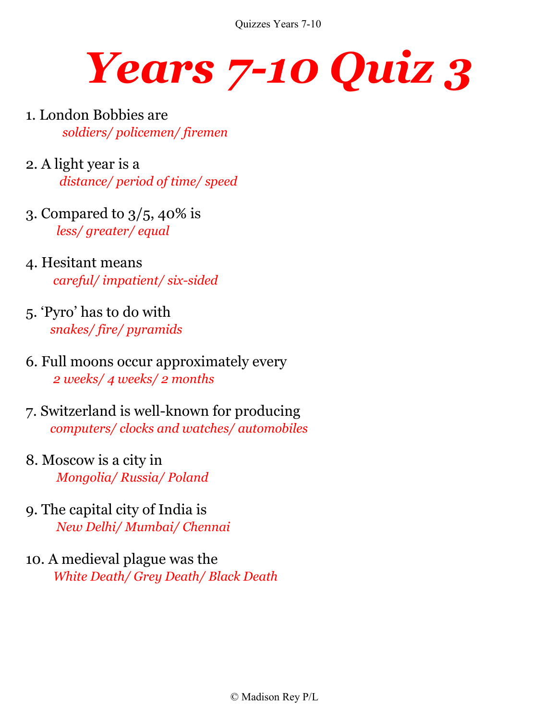

- 1. London Bobbies are  *soldiers/ policemen/ firemen*
- 2. A light year is a  *distance/ period of time/ speed*
- 3. Compared to 3/5, 40% is  *less/ greater/ equal*
- 4. Hesitant means  *careful/ impatient/ six-sided*
- 5. 'Pyro' has to do with  *snakes/ fire/ pyramids*
- 6. Full moons occur approximately every  *2 weeks/ 4 weeks/ 2 months*
- 7. Switzerland is well-known for producing  *computers/ clocks and watches/ automobiles*
- 8. Moscow is a city in  *Mongolia/ Russia/ Poland*
- 9. The capital city of India is  *New Delhi/ Mumbai/ Chennai*
- 10. A medieval plague was the  *White Death/ Grey Death/ Black Death*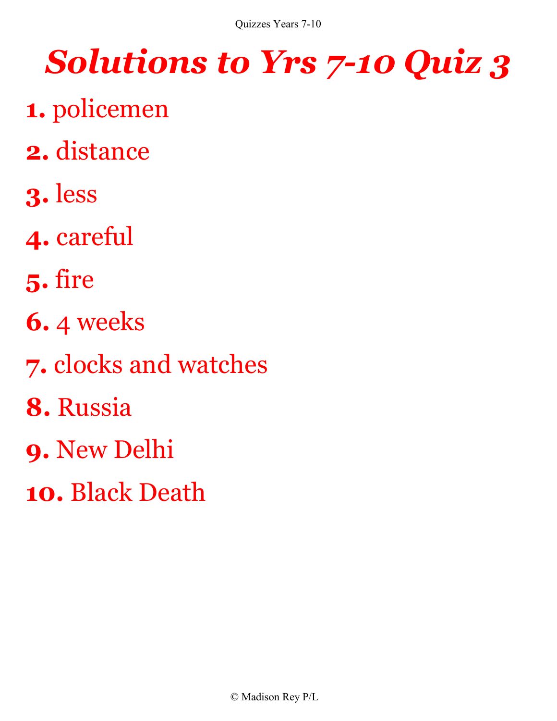- **1.** policemen
- **2.** distance
- **3.** less
- **4.** careful
- **5.** fire
- **6.** 4 weeks
- **7.** clocks and watches
- **8.** Russia
- **9.** New Delhi
- **10.** Black Death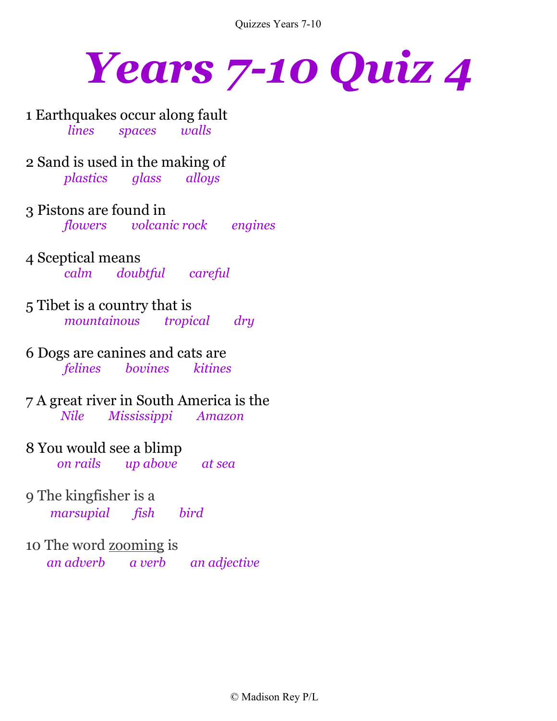

1 Earthquakes occur along fault  *lines spaces walls*

2 Sand is used in the making of  *plastics glass alloys*

3 Pistons are found in  *flowers volcanic rock engines*

- 4 Sceptical means  *calm doubtful careful*
- 5 Tibet is a country that is  *mountainous tropical dry*

6 Dogs are canines and cats are  *felines bovines kitines*

7 A great river in South America is the  *Nile Mississippi Amazon* 

- 8 You would see a blimp  *on rails up above at sea*
- 9 The kingfisher is a  *marsupial fish bird*

10 The word zooming is  *an adverb a verb an adjective*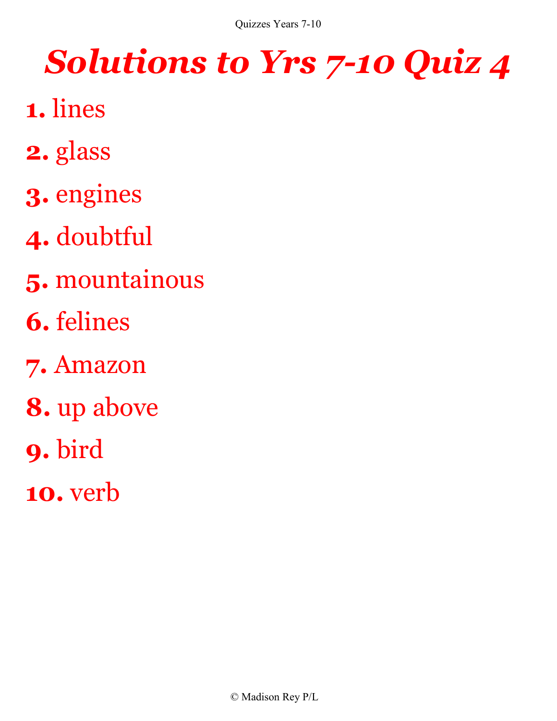- **1.** lines
- **2.** glass
- **3.** engines
- **4.** doubtful
- **5.** mountainous
- **6.** felines
- **7.** Amazon
- **8.** up above
- **9.** bird
- **10.** verb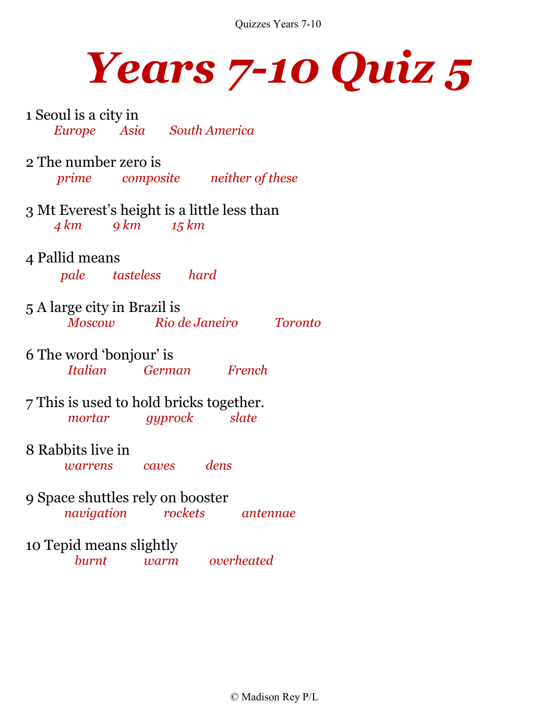

1 Seoul is a city in  *Europe Asia South America*

2 The number zero is  *prime composite neither of these*

3 Mt Everest's height is a little less than  *4 km 9 km 15 km*

- 4 Pallid means  *pale tasteless hard*
- 5 A large city in Brazil is  *Moscow Rio de Janeiro Toronto*
- 6 The word 'bonjour' is  *Italian German French*

7 This is used to hold bricks together.  *mortar gyprock slate*

- 8 Rabbits live in  *warrens caves dens*
- 9 Space shuttles rely on booster  *navigation rockets antennae*

### 10 Tepid means slightly

 *burnt warm overheated*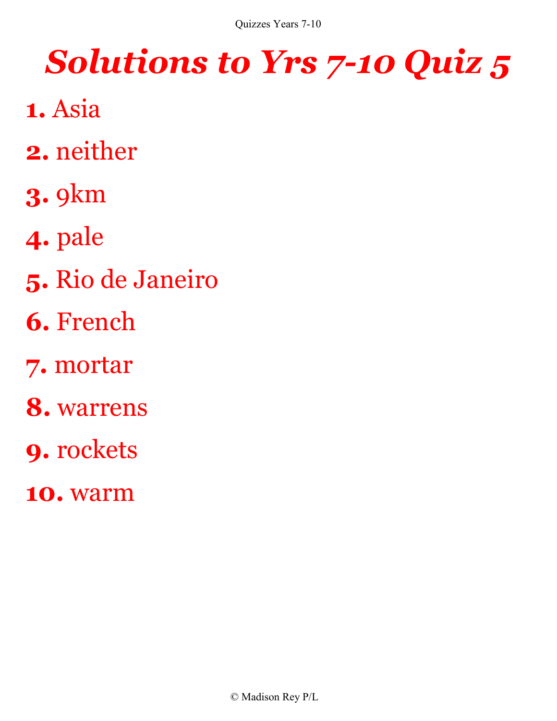- **1.** Asia
- **2.** neither
- **3.** 9km
- **4.** pale
- **5.** Rio de Janeiro
- **6.** French
- **7.** mortar
- **8.** warrens
- **9.** rockets
- **10.** warm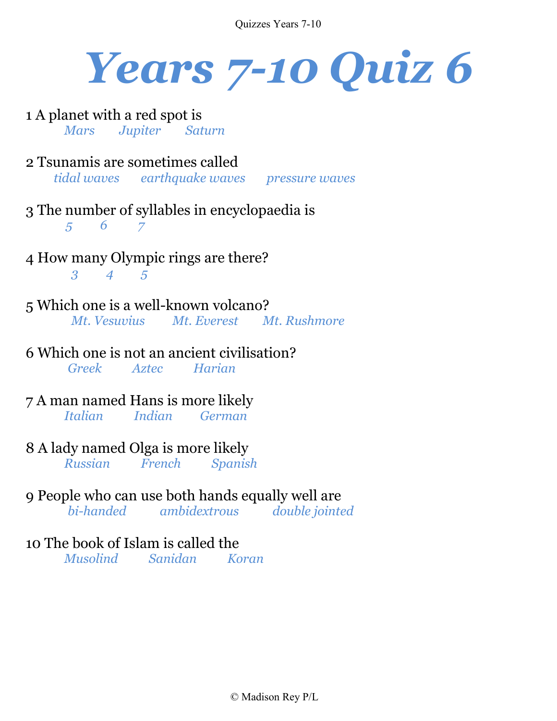

- 1 A planet with a red spot is  *Mars Jupiter Saturn*
- 2 Tsunamis are sometimes called  *tidal waves earthquake waves pressure waves*
- 3 The number of syllables in encyclopaedia is  *5 6 7*
- 4 How many Olympic rings are there?  *3 4 5*
- 5 Which one is a well-known volcano?  *Mt. Vesuvius Mt. Everest Mt. Rushmore*
- 6 Which one is not an ancient civilisation?  *Greek Aztec Harian*
- 7 A man named Hans is more likely  *Italian Indian German*
- 8 A lady named Olga is more likely  *Russian French Spanish*
- 9 People who can use both hands equally well are

 *bi-handed ambidextrous double jointed* 

### 10 The book of Islam is called the

 *Musolind Sanidan Koran*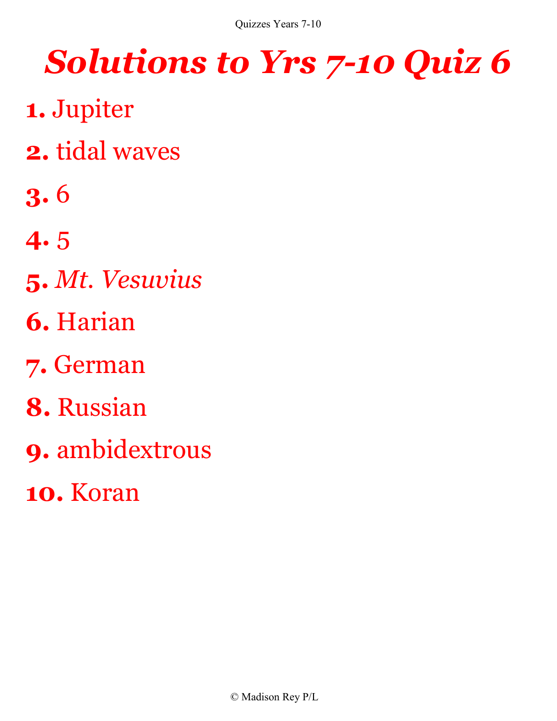- **1.** Jupiter
- **2.** tidal waves
- **3.** 6
- **4.** 5
- **5.** *Mt. Vesuvius*
- **6.** Harian
- **7.** German
- **8.** Russian
- **9.** ambidextrous
- **10.** Koran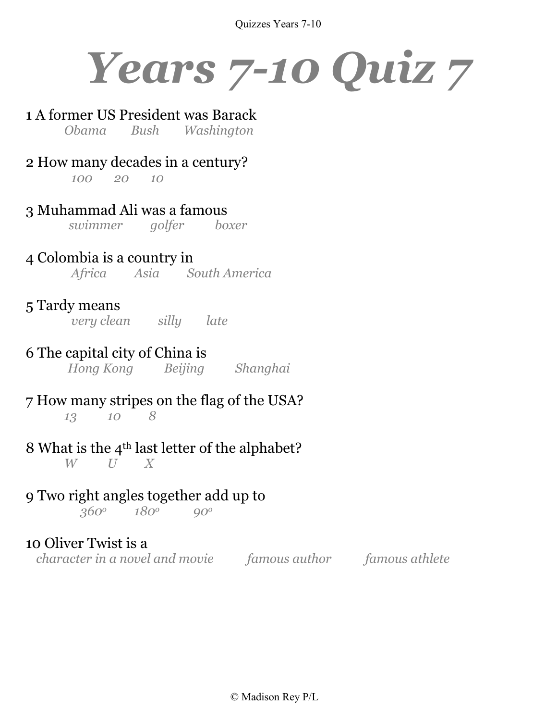

### 1 A former US President was Barack

 *Obama Bush Washington*

#### 2 How many decades in a century?  *100 20 10*

3 Muhammad Ali was a famous  *swimmer golfer boxer*

#### 4 Colombia is a country in  *Africa Asia South America*

### 5 Tardy means

 *very clean silly late*

### 6 The capital city of China is

 *Hong Kong Beijing Shanghai*

#### 7 How many stripes on the flag of the USA?  *13 10 8*

#### 8 What is the 4<sup>th</sup> last letter of the alphabet?  $W$   $U$   $X$

### 9 Two right angles together add up to

 *360o 180o 90<sup>o</sup>*

### 10 Oliver Twist is a

 *character in a novel and movie famous author famous athlete*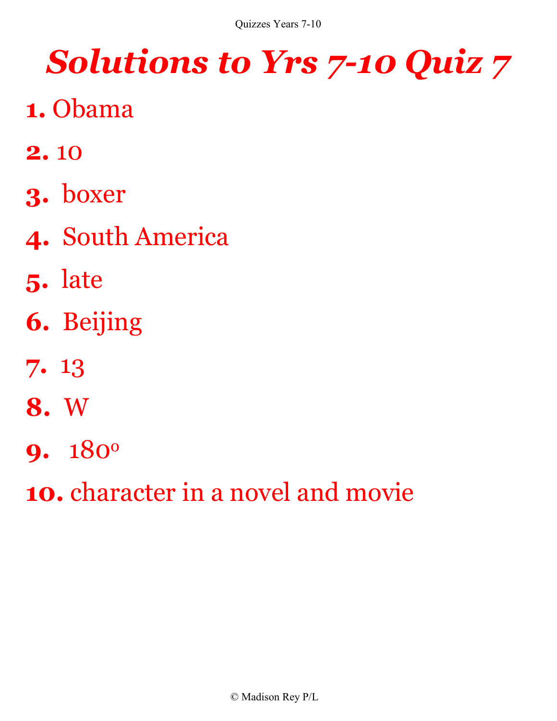- **1.** Obama
- **2.** 10
- **3.** boxer
- **4.** South America
- **5.** late
- **6.** Beijing
- **7.** 13
- **8.** W
- **9.** 180<sup>o</sup>
- **10.** character in a novel and movie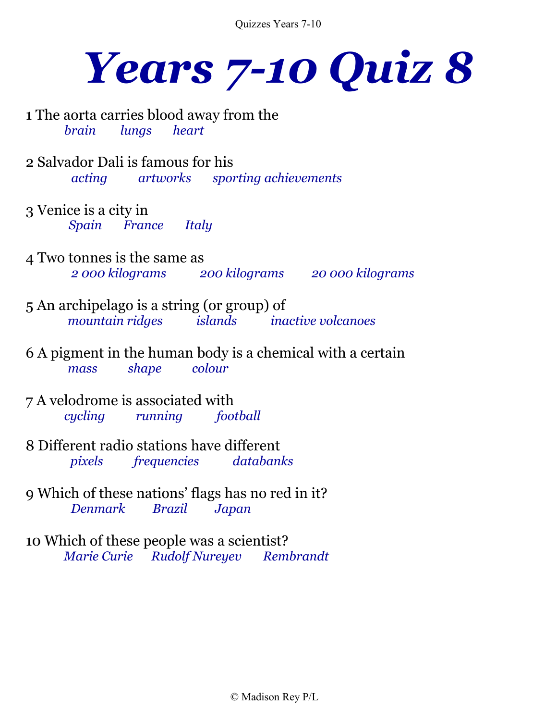

1 The aorta carries blood away from the  *brain lungs heart*

- 2 Salvador Dali is famous for his  *acting artworks sporting achievements*
- 3 Venice is a city in  *Spain France Italy*
- 4 Two tonnes is the same as  *2 000 kilograms 200 kilograms 20 000 kilograms*
- 5 An archipelago is a string (or group) of  *mountain ridges islands inactive volcanoes*
- 6 A pigment in the human body is a chemical with a certain  *mass shape colour*
- 7 A velodrome is associated with  *cycling running football*
- 8 Different radio stations have different  *pixels frequencies databanks*
- 9 Which of these nations' flags has no red in it? *Denmark Brazil Japan*
- 10 Which of these people was a scientist?  *Marie Curie Rudolf Nureyev Rembrandt*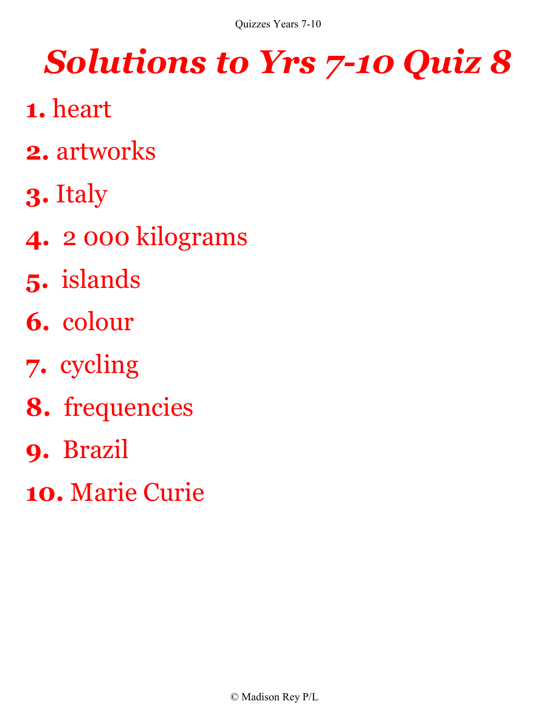- **1.** heart
- **2.** artworks
- **3.** Italy
- **4.** 2 000 kilograms
- **5.** islands
- **6.** colour
- **7.** cycling
- **8.** frequencies
- **9.** Brazil
- **10.** Marie Curie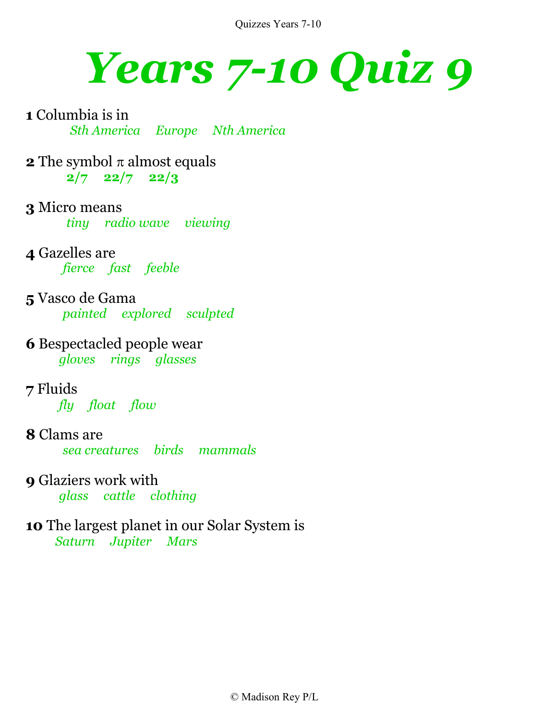

- **1** Columbia is in  *Sth America Europe Nth America*
- **2** The symbol  $\pi$  almost equals **2/7 22/7 22/3**
- **3** Micro means  *tiny radio wave viewing*
- **4** Gazelles are  *fierce fast feeble*
- **5** Vasco de Gama  *painted explored sculpted*
- **6** Bespectacled people wear  *gloves rings glasses*
- **7** Fluids  *fly float flow*
- **8** Clams are  *sea creatures birds mammals*
- **9** Glaziers work with  *glass cattle clothing*
- **10** The largest planet in our Solar System is  *Saturn Jupiter Mars*